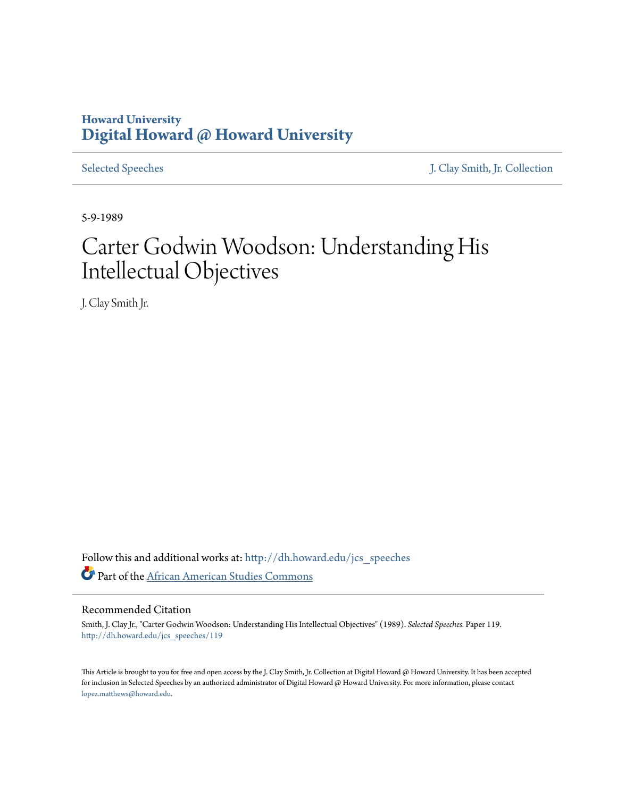## **Howard University [Digital Howard @ Howard University](http://dh.howard.edu?utm_source=dh.howard.edu%2Fjcs_speeches%2F119&utm_medium=PDF&utm_campaign=PDFCoverPages)**

[Selected Speeches](http://dh.howard.edu/jcs_speeches?utm_source=dh.howard.edu%2Fjcs_speeches%2F119&utm_medium=PDF&utm_campaign=PDFCoverPages) [J. Clay Smith, Jr. Collection](http://dh.howard.edu/jcsmith?utm_source=dh.howard.edu%2Fjcs_speeches%2F119&utm_medium=PDF&utm_campaign=PDFCoverPages)

5-9-1989

# Carter Godwin Woodson: Understanding His Intellectual Objectives

J. Clay Smith Jr.

Follow this and additional works at: [http://dh.howard.edu/jcs\\_speeches](http://dh.howard.edu/jcs_speeches?utm_source=dh.howard.edu%2Fjcs_speeches%2F119&utm_medium=PDF&utm_campaign=PDFCoverPages) Part of the [African American Studies Commons](http://network.bepress.com/hgg/discipline/567?utm_source=dh.howard.edu%2Fjcs_speeches%2F119&utm_medium=PDF&utm_campaign=PDFCoverPages)

## Recommended Citation

Smith, J. Clay Jr., "Carter Godwin Woodson: Understanding His Intellectual Objectives" (1989). *Selected Speeches.* Paper 119. [http://dh.howard.edu/jcs\\_speeches/119](http://dh.howard.edu/jcs_speeches/119?utm_source=dh.howard.edu%2Fjcs_speeches%2F119&utm_medium=PDF&utm_campaign=PDFCoverPages)

This Article is brought to you for free and open access by the J. Clay Smith, Jr. Collection at Digital Howard @ Howard University. It has been accepted for inclusion in Selected Speeches by an authorized administrator of Digital Howard @ Howard University. For more information, please contact [lopez.matthews@howard.edu.](mailto:lopez.matthews@howard.edu)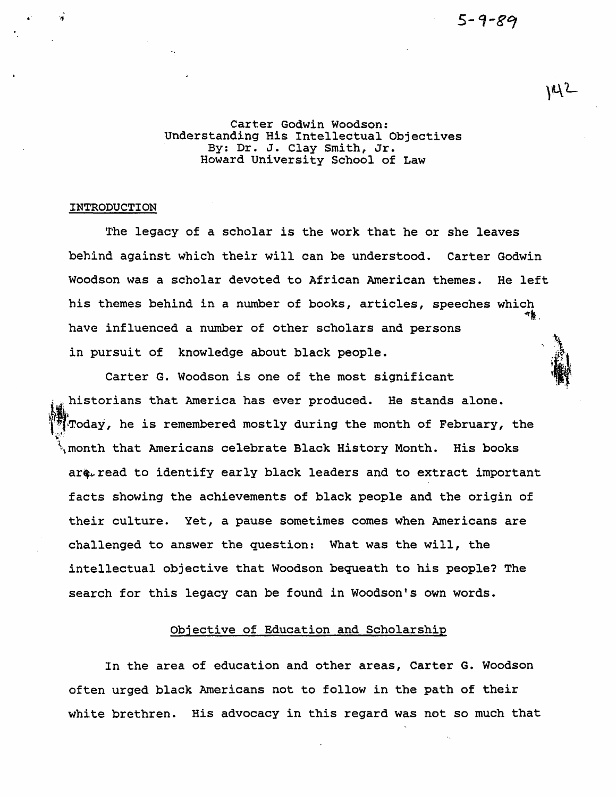$\overline{\mathcal{U}}$ 

Carter Godwin Woodson: Understanding His Intellectual Objectives By: Dr. J. Clay Smith, Jr. Howard University School of Law

#### INTRODUCTION

·' . ."

The legacy of a scholar *is* the work that he or she leaves behind against which their will can be understood. Carter Godwin Woodson was a scholar devoted to African American themes. He left his themes behind in a number of books, articles, speeches which  $\tau_{\mathbf{k}}$  , have influenced a number of other scholars and persons in pursuit of knowledge about black people.

Carter G. Woodson *is* one of the most significant historians that America has ever produced. He stands alone. ~:Today, he is remembered mostly during the month of February, the  $\ddotsc$ \month that Americans celebrate Black History Month. His books are read to identify early black leaders and to extract important facts showing the achievements of black people and the origin of their culture. Yet, a pause sometimes comes when Americans are challenged to answer the question: What was the will, the intellectual objective that Woodson bequeath to his people? The search for this legacy can be found in Woodson's own words.

## Objective of Education and Scholarship

In the area of education and other areas, Carter G. Woodson often urged black Americans not to follow in the path of their white brethren. His advocacy in this regard was not so much that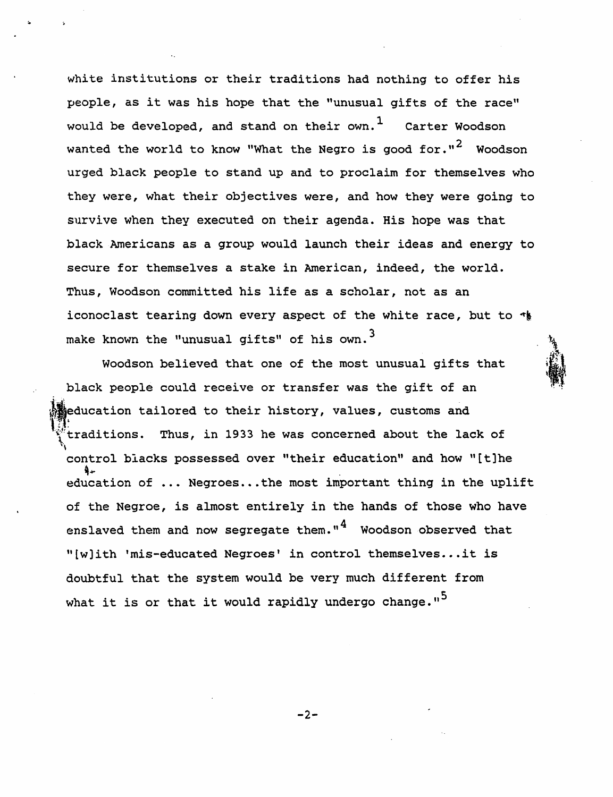white institutions or their traditions had nothing to offer his people, as it was his hope that the "unusual gifts of the race" would be developed, and stand on their own.<sup>1</sup> Carter Woodson wanted the world to know "What the Negro is good for." $2$  Woodson urged black people to stand up and to proclaim for themselves who they were, what their objectives were, and how they were going to survive when they executed on their agenda. His hope was that black Americans as a group would launch their ideas and energy to secure for themselves a stake in American, indeed, the world. Thus, Woodson committed his life as a scholar, not as an iconoclast tearing down every aspect of the white race, but to  $\star$ make known the "unusual gifts" of his own.<sup>3</sup>

Woodson believed that one of the most unusual gifts that black people could receive or transfer was the gift of an education tailored to their history, values, customs and traditions. Thus, in 1933 he was concerned about the lack of '"\ control blacks possessed over "their education" and how "[t)he education of ... Negroes... the most important thing in the uplift of the Negroe, is almost entirely in the hands of those who have enslaved them and now segregate them." $4$  Woodson observed that "[w]ith 'mis-educated Negroes' in control themselves...it is doubtful that the system would be very much different from what it is or that it would rapidly undergo change."<sup>5</sup>

-2-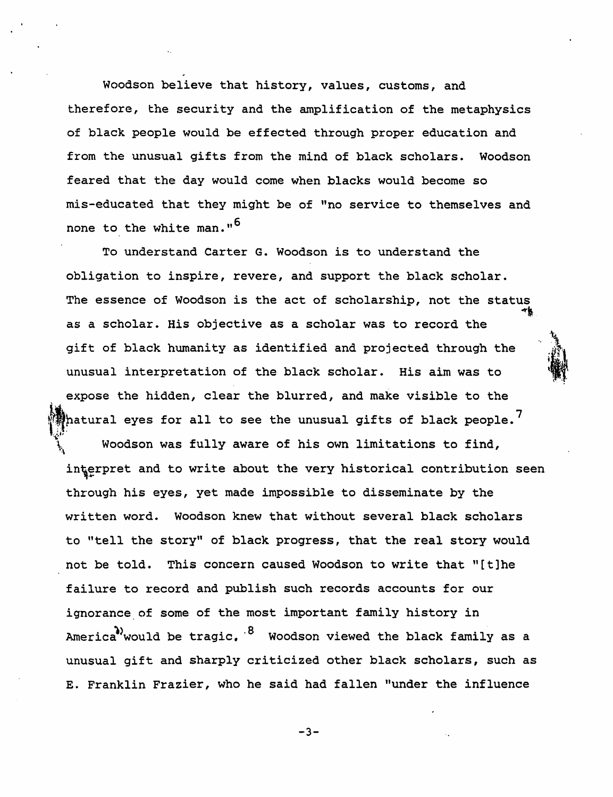Woodson believe that history, values, customs, and therefore, the security and the amplification of the metaphysics of black people would be effected through proper education and from the unusual gifts from the mind of black scholars. Woodson feared that the day would come when blacks would become so mis-educated that they might be of "no service to themselves and none to the white man."<sup>6</sup>

To understand Carter G. Woodson is to understand the obligation to inspire, revere, and support the black scholar. The essence of Woodson is the act of scholarship, not the status<br>as a scholar. His objective as a scholar was to record the<br>gift of black humanity as identified and projected through the  $$ as a scholar. His objective as a scholar was to record the gift of black humanity as identified and projected through the<br>unusual interpretation of the black scholar. His aim was to expose the hidden, clear the blurred, and make visible to the hatural eyes for all to see the unusual gifts of black people.  $^7$ Woodson was fully aware of his own limitations to find, interpret and to write about the very historical contribution seen through his eyes, yet made impossible to disseminate by the written word. Woodson knew that without several black scholars to "tell the story" of black progress, that the real story would not be told. This concern caused Woodson to write that "[t]he failure to record and publish such records accounts for our ignorance of some of the most important family history in America<sup>)</sup>would be tragic.  $8$  Woodson viewed the black family as a unusual gift and sharply criticized other black scholars, such as E. Franklin Frazier, who he said had fallen "under the influence

·'I'r.;!

-3-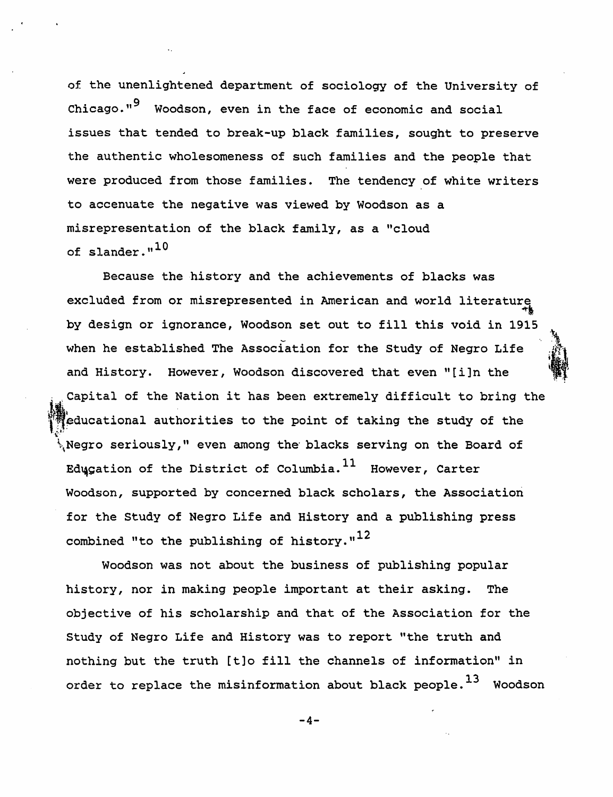of the unenlightened department of sociology of the University of Chicago."<sup>9</sup> Woodson, even in the face of economic and social issues that tended to break-up black families, sought to preserve the authentic wholesomeness of such families and the people that were produced from those families. The tendency of white writers to accenuate the negative was viewed by Woodson as a misrepresentation of the black family, as a "cloud of slander." $^{10}$ 

Because the history and the achievements of blacks was excluded from or misrepresented in American and world literature by design or ignorance, Woodson set out to fill this void in 1915 when he established The Association for the Study of Negro Life and History. However, Woodson discovered that even *"[i]n* the Capital of the Nation it has been extremely difficult to bring the educational authorities to the point of taking the study of the \Negro seriously," even among the' blacks serving on the Board of Edugation of the District of Columbia.  $^{11}$  However, Carter Woodson, supported by concerned black scholars, the Association for the Study of Negro Life and History and a publishing press combined "to the publishing of history." $^{12}$ 

 $\mathbf{r}$ 

Woodson was not about the business of publishing popular history, nor in making people important at their asking. The objective of his scholarship and that of the Association for the Study of Negro Life and History was to report "the truth and nothing but the truth [t]o fill the channels of information" in order to replace the misinformation about black people. $^{13}$  Woodson

-4-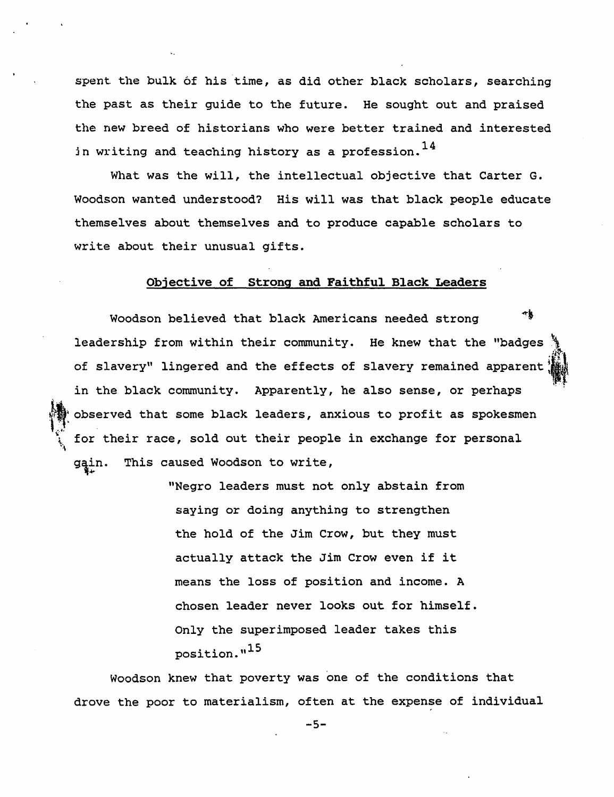spent the bulk of his time, as did other black scholars, searching the past as their guide to the future. He sought out and praised the new breed of historians who were better trained and interested in writing and teaching history as a profession.  $^{14}$ 

What was the will, the intellectual objective that Carter G. Woodson wanted understood? His will was that black people educate themselves about themselves and to produce capable scholars to write about their unusual gifts.

### Objective of Strong and Faithful Black Leaders

Woodson believed that black Americans needed strong ~t leadership from within their community. He knew that the "badges of slavery" lingered and the effects of slavery remained apparent in the black community. Apparently, he also sense, or perhaps observed that some black leaders, anxious to profit as spokesmen for their race, sold out their people in exchange for personal gain. This caused Woodson to write,

~

"Negro leaders must not only abstain from saying or doing anything to strengthen the hold of the Jim Crow, but they must actually attack the Jim Crow even if it means the loss of position and income. A chosen leader never looks out for himself. Only the superimposed leader takes this position."15

Woodson knew that poverty was one of the conditions that drove the poor to materialism, often at the expense of individual

-5-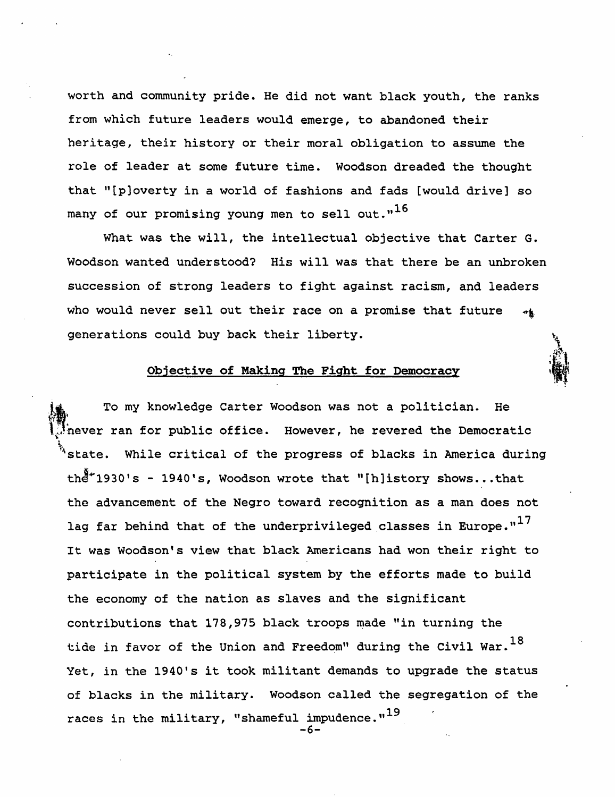worth and community pride. He did not want black youth, the ranks from which future leaders would emerge, to abandoned their heritage, their history or their moral obligation to assume the role of leader at some future time. Woodson dreaded the thought that "[p)overty in a world of fashions and fads [would drive) so many of our promising young men to sell out. $n^{16}$ 

What was the will, the intellectual objective that Carter G. Woodson wanted understood? His will was that there be an unbroken succession of strong leaders to fight against racism, and leaders who would never sell out their race on a promise that future ÷k. generations could buy back their liberty.

## Objective of Making The Fight for Democracy

To my knowledge Carter Woodson was not a politician. He never ran for public office. However, he revered the Democratic  $^4$ state. While critical of the progress of blacks in America during  $th^2$ \*1930's - 1940's, Woodson wrote that "[h]istory shows...that the advancement of the Negro toward recognition as a man does not lag far behind that of the underprivileged classes in Europe. $n^{17}$ It was Woodson's view that black Americans had won their right to participate in the political system by the efforts made to build the economy of the nation as slaves and the significant contributions that 178,975 black troops made "in turning the tide in favor of the Union and Freedom" during the Civil War. $^{18}$ Yet, *in* the 1940's it took militant demands to upgrade the status of blacks in the military. Woodson called the segregation of the races in the military, "shameful impudence." $^{19}$ -6-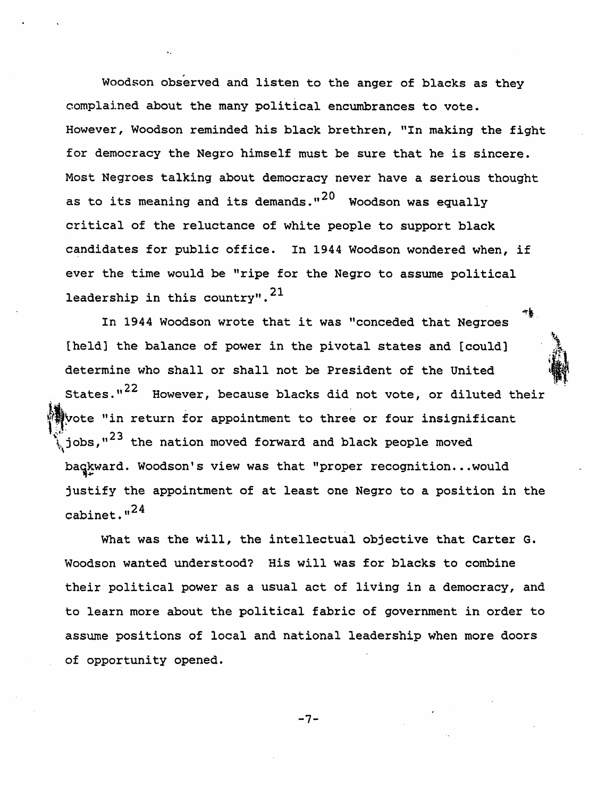Woodson observed and listen to the anger of blacks as they complained about the many political encumbrances to vote. However, Woodson reminded his black brethren, "In making the fight for democracy the Negro himself must be sure that he is sincere. Most Negroes talking about democracy never have a serious thought as to its meaning and its demands." $^{20}$  Woodson was equally critical of the reluctance of white people to support black candidates for public office. In 1944 Woodson wondered when, if ever the time would be "ripe for the Negro to assume political leadership in this country".  $21$ 

In 1944 Woodson wrote that it was "conceded that Negroes [held] the balance of power in the pivotal states and [could] determine who shall or shall not be President of the United  $\mathcal{L}_{\mathbf{a}}$ ;<br>() States."<sup>22</sup> However, because blacks did not vote, or diluted their vote "in return for appointment to three or four insignificant  $\int_{\gamma}$ jobs," $^{23}$  the nation moved forward and black people moved baqkward. Woodson's view was that "proper recognition...would justify the appointment of at least one Negro to a position in the cabinet."<sup>24</sup>

 $\,$ 

What was the will, the intellectual objective that Carter G. Woodson wanted understood? His will was for blacks to combine their political power as a usual act of living in a democracy, and to learn more about the political fabric of government in order to assume positions of local and national leadership when more doors of opportunity opened.

-7-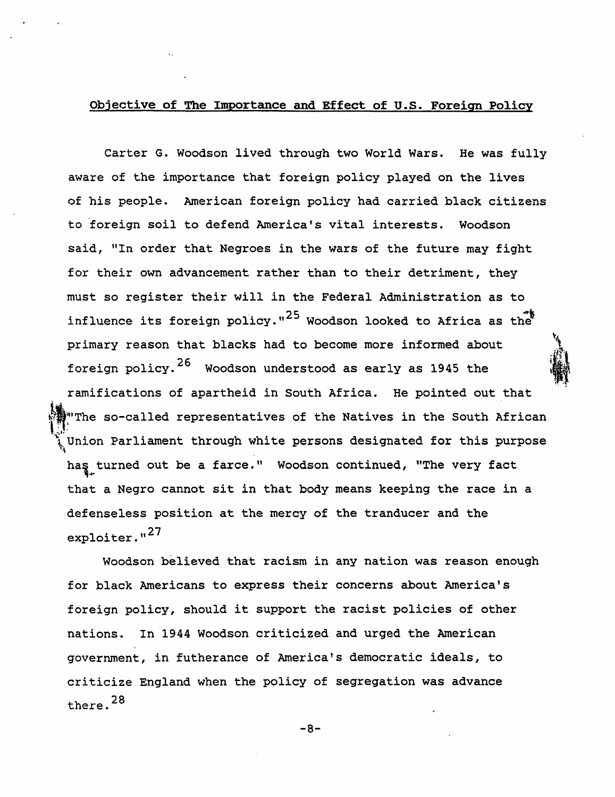## Objective of The Importance and Effect of u.s. Foreign Policy

Carter G. Woodson lived through two World Wars. He was fully aware of the importance that foreign policy played on the lives of his people. American foreign policy had carried black citizens to 'foreign soil to defend America's vital interests. Woodson said, "In order that Negroes in the wars of the future may fight for their own advancement rather than to their detriment, they must so register their will in the Federal Administration as to influence its foreign policy."<sup>25</sup> Woodson looked to Africa as the primary reason that blacks had to become more informed about foreign policy.<sup>26</sup> Woodson understood as early as 1945 the ramifications of apartheid in South Africa. He pointed out that ~~IThe so-called representatives of the Natives in the South African Union Parliament through white persons designated for this purpose has turned out be a farce." Woodson continued, "The very fact that a Negro cannot sit in that body means keeping the race in a defenseless position at the mercy of the tranducer and the  $explotter.$ <sup> $127$ </sup>  $i \in \mathcal{N}$ 

 $-$ 

'J  $\ddot{u}$ 

Woodson believed that racism in any nation was reason enough for black Americans to express their concerns about America's foreign policy, should it support the racist policies of other nations. In 1944 Woodson criticized and urged the American government, in futherance of America's democratic ideals, to criticize England when the policy of segregation was advance there. 28

-8-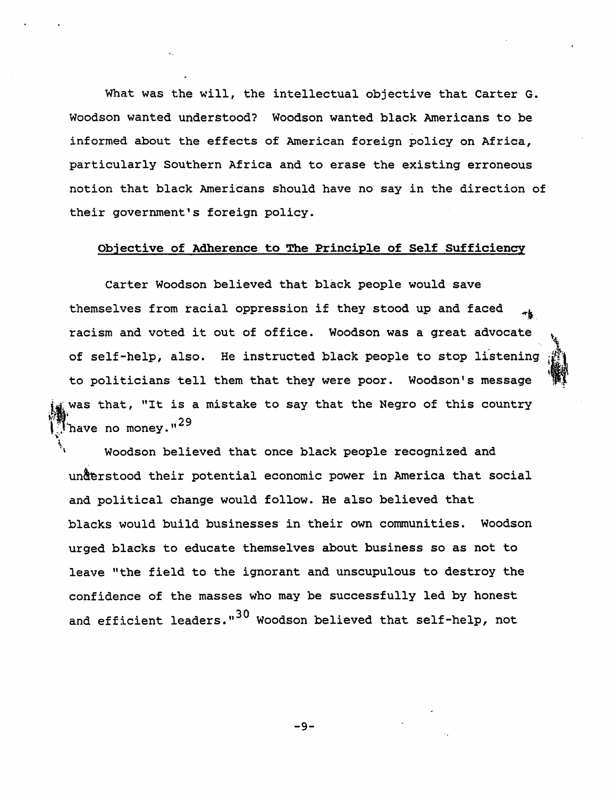What was the will, the intellectual objective that Carter G. Woodson wanted understood? Woodson wanted black Americans to be informed about the effects of American foreign policy on Africa, particularly Southern Africa and to erase the existing erroneous notion that black Americans should have no say in the direction of their government's foreign policy.

## Objective of Adherence to The Principle of Self SufficiencY

Carter Woodson believed that black people would save themselves from racial oppression if they stood up and faced racism and voted it out of office. Woodson was a great advocate of self-help, also. He instructed black people to stop listening to politicians tell them that they were poor. Woodson's message was that, "It is a mistake to say that the Negro of this country have no money."<sup>29</sup>

'", i •. !:i ~ .. ~. \ \ .  $\mathbf{r}$  ,  $\mathbf{r}$ 

\. \ Woodson believed that once black people recognized and understood their potential economic power in America that social and political change would follow. He also believed that blacks would build businesses in their own communities. Woodson urged blacks to educate themselves about business so as not to leave "the field to the ignorant and unscupulous to destroy the confidence of the masses who may be successfully led by honest and efficient leaders."<sup>30</sup> Woodson believed that self-help, not

-9-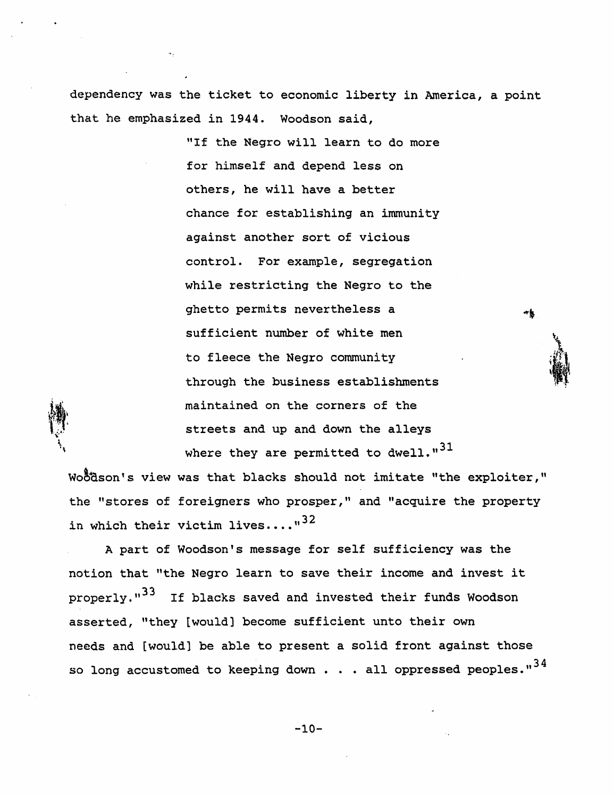dependency was the ticket to economic liberty in America, a point that he emphasized in 1944. Woodson said,

> "If the Negro will learn to do more for himself and depend less on others, he will have a better chance for establishing an immunity against another sort of vicious control. For example, segregation while restricting the Negro to the ghetto permits nevertheless a sufficient number of white men to fleece the Negro community through the business establishments maintained on the corners of the streets and up and down the alleys where they are permitted to dwell. $1.31$

Woodson's view was that blacks should not imitate "the exploiter," the "stores of foreigners who prosper," and "acquire the property in which their victim lives  $\dots$ ...<sup>32</sup>

A part of Woodson's message for self sufficiency was the notion that "the Negro learn to save their income and invest it properly."<sup>33</sup> If blacks saved and invested their funds Woodson asserted, "they [would) become sufficient unto their own needs and [would] be able to present a solid front against those so long accustomed to keeping down  $\ldots$  all oppressed peoples." $^{34}$ 

-10-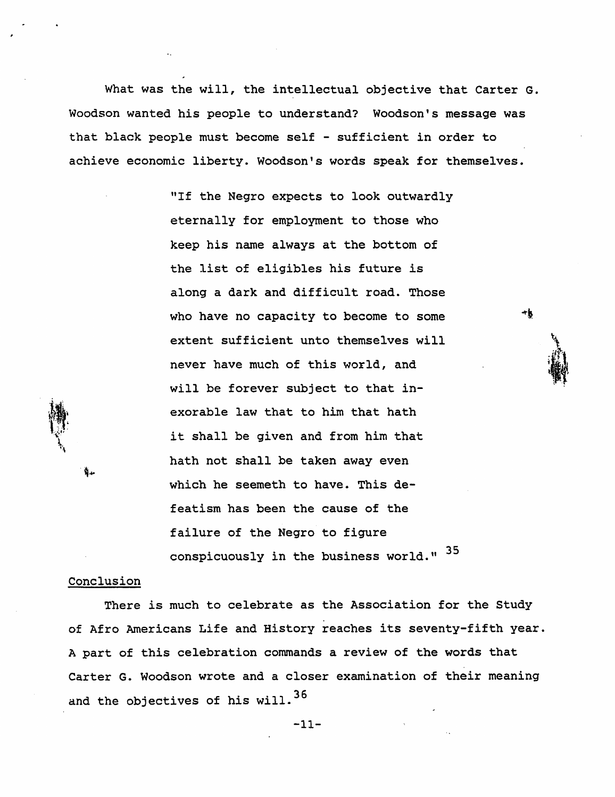What was the will, the intellectual objective that Carter G. Woodson wanted his people to understand? Woodson's message was that black people must become self - sufficient in order to achieve economic liberty. Woodson's words speak for themselves.

> "If the Negro expects to look outwardly eternally for employment to those who keep his name always at the bottom of the list of eligibles his future *is*  along a dark and difficult road. Those who have no capacity to become to some extent sufficient unto themselves will never have much of this world, and will be forever subject to that inexorable law that to him that hath it shall be given and from him that hath not shall be taken away even which he seemeth to have. This defeatism has been the cause of the failure of the Negro to figure conspicuously in the business world." 35

 $\int_{\mathbb{R}^d}$ 

:<br>...  $\cdot$  .  $\cdot$  .  $\cdot$  .  $\cdot$  .  $\cdot$  .  $\cdot$  .  $\cdot$  .  $\cdot$  .  $\cdot$  .  $\cdot$  .  $\cdot$  .  $\cdot$  .  $\cdot$  .  $\cdot$  .  $\cdot$  .  $\cdot$  .  $\cdot$  .  $\cdot$  .  $\cdot$  .  $\cdot$  .  $\cdot$  .  $\cdot$  .  $\cdot$  .  $\cdot$  .  $\cdot$  .  $\cdot$  .  $\cdot$  .  $\cdot$  .  $\cdot$  .  $\cdot$  .  $\cdot$  .  $\cdot$  $\mathbf{y}_{\perp}$ 

۰k

#### Conclusion

ğ.,

There is much to celebrate as the Association for the Study of Afro Americans Life and History reaches its seventy-fifth year. A part of this celebration commands a review of the words that Carter G. Woodson wrote and a closer examination of their meaning and the objectives of his will.  $36$ 

-11-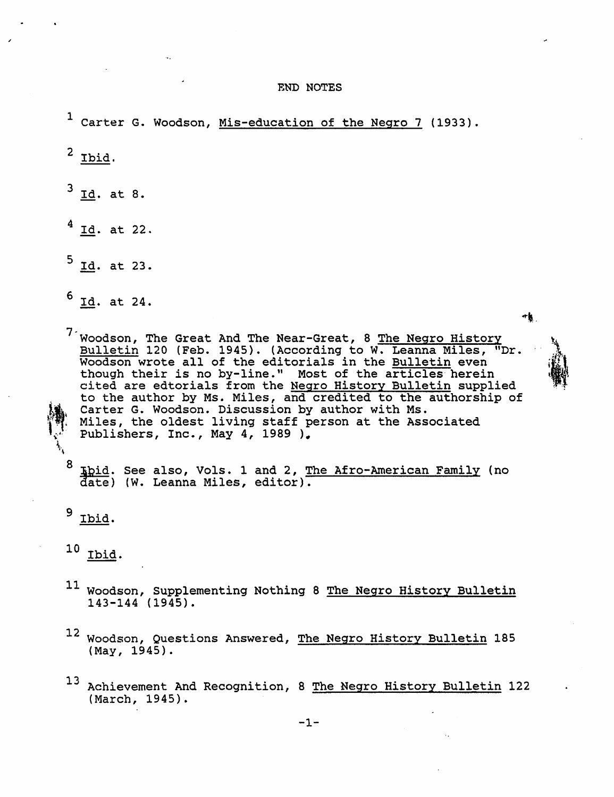E'ND NOTES

<sup>1</sup> Carter G. Woodson, Mis-education of the Negro 7 (1933).  $2$  Ibid.  $3$   $\underline{Id}$ . at 8.  $4$  Id. at 22.  $5$  Id. at 23.  $6$  Id. at 24. 村. <sup>7</sup> Woodson, The Great And The Near-Great, 8 The Negro History Bulletin 120 (Feb. 1945). (According to W. Leanna Miles, "Dr. **Builetin** 120 (FeD: 1949). (According to M: Beanna Miles, though their is no by-line." Most of the articles herein cited are edtorials from the Negro History Bulletin supplied to the author by Ms. Miles, and credited to the authorship of \* Carter G. Woodson. Discussion by author with Ms.<br> \* Miles, the oldest living staff person at the Associated Publishers, Inc., May 4, 1989 ). t  $\ddot{\phantom{0}}$ <sup>8</sup> Khid. See also, Vols. 1 and 2, The Afro-American Family (no date) (W. Leanna Miles, editor). 9 Ibid.

 $\mathbf{z}$ 

 $\sum_{i=1}^{N}$ 

**indicate** 

 $\mathbb{R}^n$ 

- 11 Woodson, Supplementing Nothing 8 The Negro History Bulletin 143-144 (1945).
- 12 Woodson, Questions Answered, The Negro History Bulletin 185 ( May, 1945).
- 13 Achievement And Recognition, 8 The Negro History Bulletin 122 (March, 1945).

<sup>10</sup> Ibid.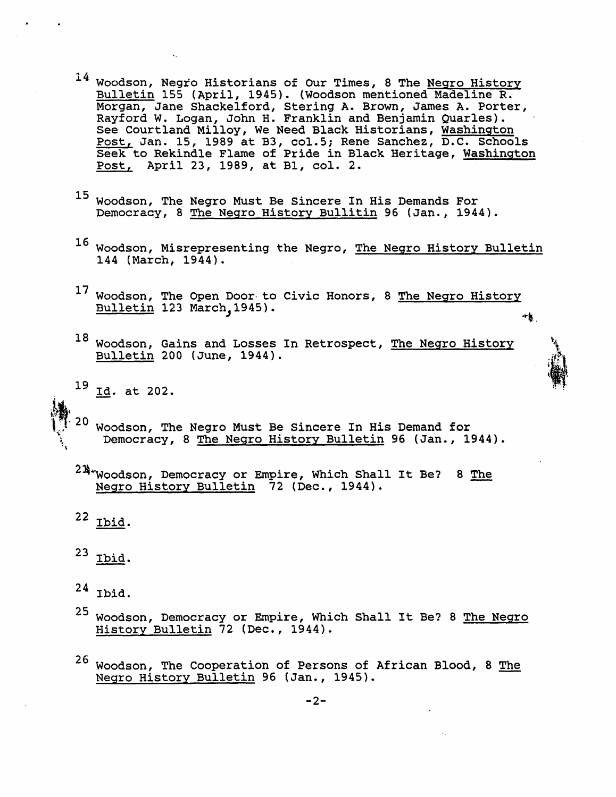- 14 Woodson, Negro Historians of Our Times, 8 The Negro History Bulletin 155 (April, 1945). (Woodson mentioned Madeline R. Morgan, Jane Shackelford, Stering A. Brown, James A. Porter, Rayford W. Logan, John H. Franklin and Benjamin Quarles). See Courtland Milloy, We Need Black Historians, Washington Post, Jan. 15, 1989 at B3, col.5; Rene Sanchez, D.C. Schools Seek to Rekindle Flame of Pride in Black Heritage, Washington Post, April 23, 1989, at B1, col. 2.
- 15 Woodson, The Negro Must Be Sincere In His Demands For Democracy, 8 The Negro History Bullitin 96 (Jan., 1944).
- 16 Woodson, Misrepresenting the Negro, The Negro History Bulletin 144 (March, 1944).
- $^{17}$  Woodson, The Open Door to Civic Honors, 8 <u>The Negro History</u> Bulletin 123 March, 1945).
- $18$  Woodson, Gains and Losses In Retrospect, The Negro History Bulletin 200 (June, 1944).

h 1-  $\sum_{k=1}^{N}$ 

1. il

- $19$  Id. at 202.
- $20$ \,";.1 Woodson, The Negro Must Be Sincere In His Demand for Democracy, 8 The Negro History Bulletin 96 (Jan., 1944).
- $2\frac{m}{4}$  Woodson, Democracy or Empire, Which Shall It Be? 8 The Negro History Bulletin 72 (Dec., 1944).

 $22$  Ibid.

- $23$  Ibid.
- $24$  Ibid.
- 25 Woodson, Democracy or Empire, Which Shall It Be? 8 The Negro History Bulletin 72 (Dec., 1944).
- 26 Woodson, The Cooperation of Persons of African Blood, 8 The Negro History Bulletin 96 (Jan., 1945).